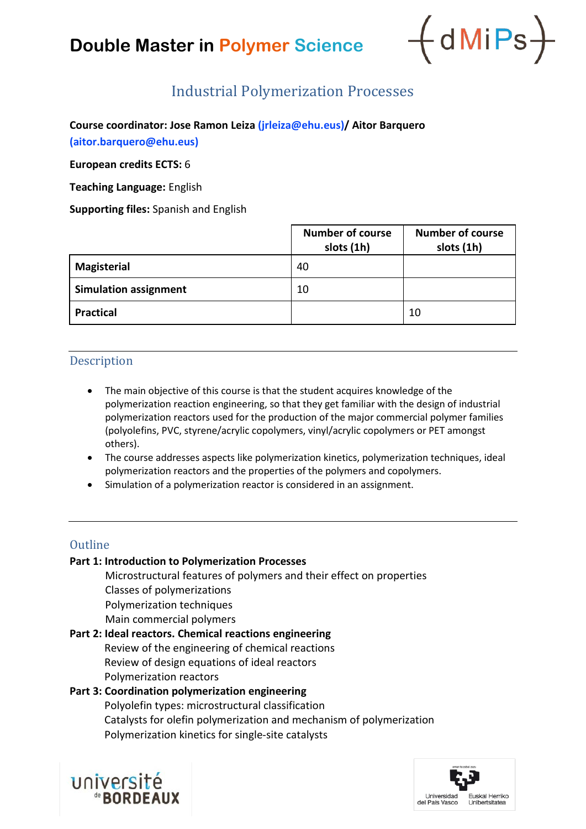# **Double Master in Polymer Science**



### Industrial Polymerization Processes

**Course coordinator: Jose Ramon Leiza (jrleiza@ehu.eus)/ Aitor Barquero (aitor.barquero@ehu.eus)**

**European credits ECTS:** 6

**Teaching Language:** English

**Supporting files:** Spanish and English

|                              | <b>Number of course</b><br>slots (1h) | <b>Number of course</b><br>slots (1h) |
|------------------------------|---------------------------------------|---------------------------------------|
| <b>Magisterial</b>           | 40                                    |                                       |
| <b>Simulation assignment</b> | 10                                    |                                       |
| <b>Practical</b>             |                                       | 10                                    |

### Description

- The main objective of this course is that the student acquires knowledge of the polymerization reaction engineering, so that they get familiar with the design of industrial polymerization reactors used for the production of the major commercial polymer families (polyolefins, PVC, styrene/acrylic copolymers, vinyl/acrylic copolymers or PET amongst others).
- The course addresses aspects like polymerization kinetics, polymerization techniques, ideal polymerization reactors and the properties of the polymers and copolymers.
- Simulation of a polymerization reactor is considered in an assignment.

### **Outline**

### **Part 1: Introduction to Polymerization Processes**

Microstructural features of polymers and their effect on properties Classes of polymerizations Polymerization techniques Main commercial polymers

### **Part 2: Ideal reactors. Chemical reactions engineering**

Review of the engineering of chemical reactions Review of design equations of ideal reactors Polymerization reactors

### **Part 3: Coordination polymerization engineering**

Polyolefin types: microstructural classification Catalysts for olefin polymerization and mechanism of polymerization Polymerization kinetics for single-site catalysts